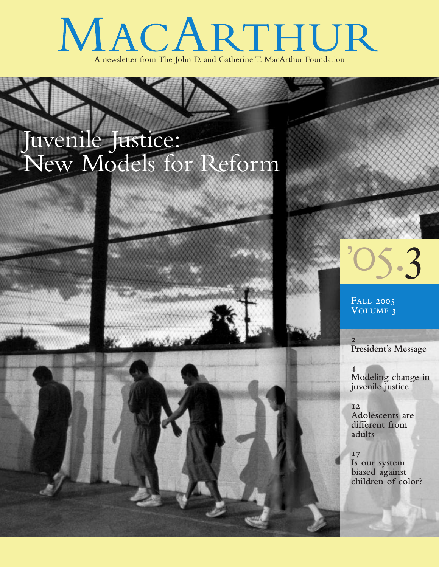# MACARTHUR A newsletter from The John D. and Catherine T. MacArthur Foundation

Juvenile Justice: New Models for Reform





# '05.3

**FALL VOLUME**

 $\overline{2}$ **President's Message**

 $\overline{\mathbf{4}}$ **Modeling change in juvenile justice**

 $I2$ **Adolescents are different from adults**

 $I7$ **Is our system biased against children of color?**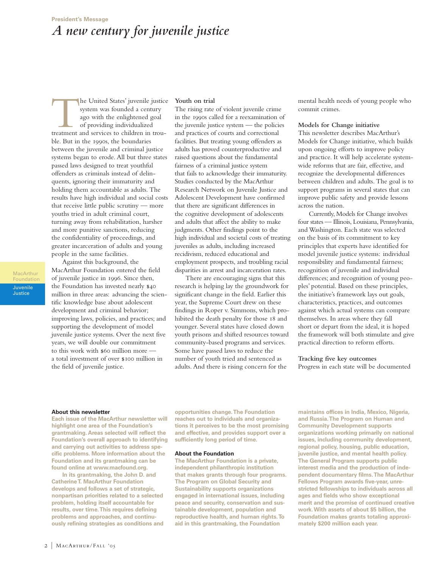### **President's Message** *A new century for juvenile justice*

The United States' juvenile justice<br>system was founded a century<br>ago with the enlightened goal<br>of providing individualized<br>treatment and services to children in trousystem was founded a century ago with the enlightened goal of providing individualized ble. But in the 1990s, the boundaries between the juvenile and criminal justice systems began to erode. All but three states passed laws designed to treat youthful offenders as criminals instead of delinquents, ignoring their immaturity and holding them accountable as adults. The results have high individual and social costs that receive little public scrutiny — more youths tried in adult criminal court, turning away from rehabilitation, harsher and more punitive sanctions, reducing the confidentiality of proceedings, and greater incarceration of adults and young people in the same facilities.

Against this background, the MacArthur Foundation entered the field of juvenile justice in 1996. Since then, the Foundation has invested nearly million in three areas: advancing the scientific knowledge base about adolescent development and criminal behavior; improving laws, policies, and practices; and supporting the development of model juvenile justice systems. Over the next five years, we will double our commitment to this work with  $$60$  million more a total investment of over \$100 million in the field of juvenile justice.

#### **Youth on trial**

The rising rate of violent juvenile crime in the 1990s called for a reexamination of the juvenile justice system — the policies and practices of courts and correctional facilities. But treating young offenders as adults has proved counterproductive and raised questions about the fundamental fairness of a criminal justice system that fails to acknowledge their immaturity. Studies conducted by the MacArthur Research Network on Juvenile Justice and Adolescent Development have confirmed that there are significant differences in the cognitive development of adolescents and adults that affect the ability to make judgments. Other findings point to the high individual and societal costs of treating juveniles as adults, including increased recidivism, reduced educational and employment prospects, and troubling racial disparities in arrest and incarceration rates.

There are encouraging signs that this research is helping lay the groundwork for significant change in the field. Earlier this year, the Supreme Court drew on these findings in Roper v. Simmons, which prohibited the death penalty for those 18 and younger. Several states have closed down youth prisons and shifted resources toward community-based programs and services. Some have passed laws to reduce the number of youth tried and sentenced as adults. And there is rising concern for the

mental health needs of young people who commit crimes.

#### **Models for Change initiative**

This newsletter describes MacArthur's Models for Change initiative, which builds upon ongoing efforts to improve policy and practice. It will help accelerate systemwide reforms that are fair, effective, and recognize the developmental differences between children and adults. The goal is to support programs in several states that can improve public safety and provide lessons across the nation.

Currently, Models for Change involves four states — Illinois, Louisiana, Pennsylvania, and Washington. Each state was selected on the basis of its commitment to key principles that experts have identified for model juvenile justice systems: individual responsibility and fundamental fairness; recognition of juvenile and individual differences; and recognition of young peoples' potential. Based on these principles, the initiative's framework lays out goals, characteristics, practices, and outcomes against which actual systems can compare themselves. In areas where they fall short or depart from the ideal, it is hoped the framework will both stimulate and give practical direction to reform efforts.

#### **Tracking five key outcomes**

Progress in each state will be documented

#### **About this newsletter**

**Each issue of the MacArthur newsletter will highlight one area of the Foundation's grantmaking. Areas selected will reflect the Foundation's overall approach to identifying and carrying out activities to address specific problems. More information about the Foundation and its grantmaking can be found online at www.macfound.org.**

**In its grantmaking, the John D. and Catherine T. MacArthur Foundation develops and follows a set of strategic, nonpartisan priorities related to a selected problem, holding itself accountable for results, over time.This requires defining problems and approaches, and continuously refining strategies as conditions and**

**opportunities change.The Foundation reaches out to individuals and organizations it perceives to be the most promising and effective, and provides support over a sufficiently long period of time.**

#### **About the Foundation**

**The MacArthur Foundation is a private, independent philanthropic institution that makes grants through four programs. The Program on Global Security and Sustainability supports organizations engaged in international issues, including peace and security, conservation and sustainable development, population and reproductive health, and human rights.To aid in this grantmaking, the Foundation**

**maintains offices in India, Mexico, Nigeria, and Russia.The Program on Human and Community Development supports organizations working primarily on national issues, including community development, regional policy, housing, public education, juvenile justice, and mental health policy. The General Program supports public interest media and the production of independent documentary films.The MacArthur Fellows Program awards five-year, unrestricted fellowships to individuals across all ages and fields who show exceptional merit and the promise of continued creative work.With assets of about \$5 billion, the Foundation makes grants totaling approximately \$200 million each year.**

**MacArthur Foundation** Juvenile Justice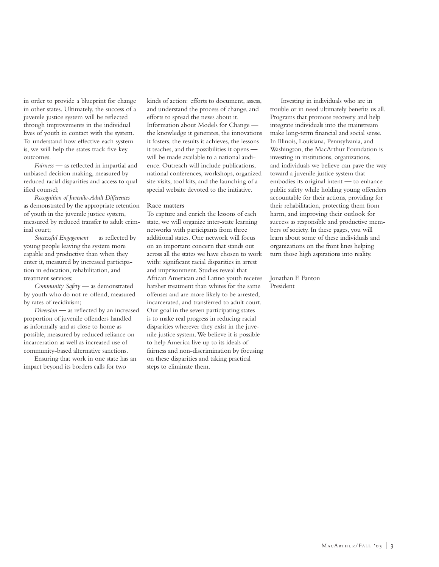in order to provide a blueprint for change in other states. Ultimately, the success of a juvenile justice system will be reflected through improvements in the individual lives of youth in contact with the system. To understand how effective each system is, we will help the states track five key outcomes.

*Fairness* — as reflected in impartial and unbiased decision making, measured by reduced racial disparities and access to qualified counsel;

*Recognition of Juvenile-Adult Differences* as demonstrated by the appropriate retention of youth in the juvenile justice system, measured by reduced transfer to adult criminal court;

*Successful Engagement* — as reflected by young people leaving the system more capable and productive than when they enter it, measured by increased participation in education, rehabilitation, and treatment services;

*Community Safety* — as demonstrated by youth who do not re-offend, measured by rates of recidivism;

*Diversion* — as reflected by an increased proportion of juvenile offenders handled as informally and as close to home as possible, measured by reduced reliance on incarceration as well as increased use of community-based alternative sanctions.

Ensuring that work in one state has an impact beyond its borders calls for two

kinds of action: efforts to document, assess, and understand the process of change, and efforts to spread the news about it. Information about Models for Change the knowledge it generates, the innovations it fosters, the results it achieves, the lessons it teaches, and the possibilities it opens will be made available to a national audience. Outreach will include publications, national conferences, workshops, organized site visits, tool kits, and the launching of a special website devoted to the initiative.

#### **Race matters**

To capture and enrich the lessons of each state, we will organize inter-state learning networks with participants from three additional states. One network will focus on an important concern that stands out across all the states we have chosen to work with: significant racial disparities in arrest and imprisonment. Studies reveal that African American and Latino youth receive harsher treatment than whites for the same offenses and are more likely to be arrested, incarcerated, and transferred to adult court. Our goal in the seven participating states is to make real progress in reducing racial disparities wherever they exist in the juvenile justice system.We believe it is possible to help America live up to its ideals of fairness and non-discrimination by focusing on these disparities and taking practical steps to eliminate them.

Investing in individuals who are in trouble or in need ultimately benefits us all. Programs that promote recovery and help integrate individuals into the mainstream make long-term financial and social sense. In Illinois, Louisiana, Pennsylvania, and Washington, the MacArthur Foundation is investing in institutions, organizations, and individuals we believe can pave the way toward a juvenile justice system that embodies its original intent — to enhance public safety while holding young offenders accountable for their actions, providing for their rehabilitation, protecting them from harm, and improving their outlook for success as responsible and productive members of society. In these pages, you will learn about some of these individuals and organizations on the front lines helping turn those high aspirations into reality.

Jonathan F. Fanton President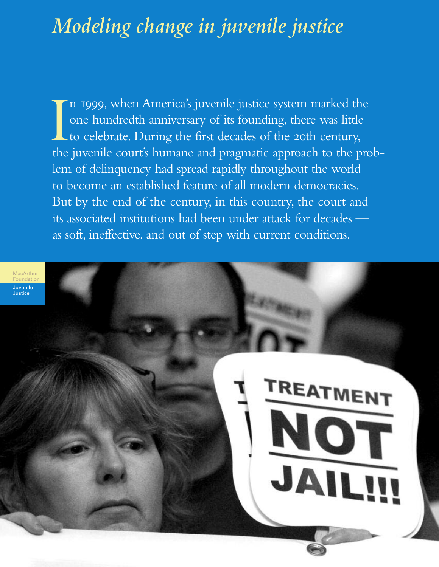# *Modeling change in juvenile justice*

In 1999, when America's juvenile justice system marked the one hundredth anniversary of its founding, there was little to celebrate. During the first decades of the 20th century, the juvenile court's humane and pragmatic a n 1999, when America's juvenile justice system marked the one hundredth anniversary of its founding, there was little  $\blacksquare$  to celebrate. During the first decades of the 20th century, lem of delinquency had spread rapidly throughout the world to become an established feature of all modern democracies. But by the end of the century, in this country, the court and its associated institutions had been under attack for decades as soft, ineffective, and out of step with current conditions.

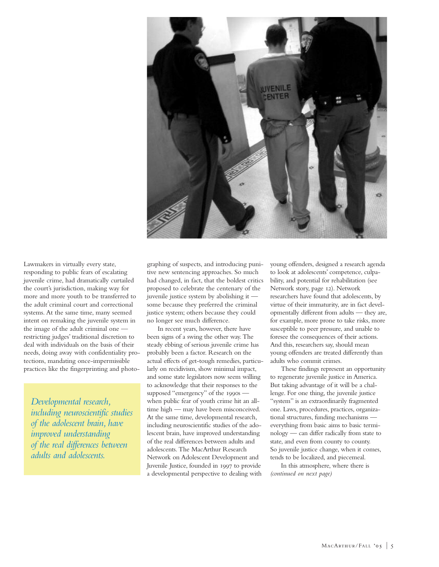

Lawmakers in virtually every state, responding to public fears of escalating juvenile crime, had dramatically curtailed the court's jurisdiction, making way for more and more youth to be transferred to the adult criminal court and correctional systems. At the same time, many seemed intent on remaking the juvenile system in the image of the adult criminal one restricting judges' traditional discretion to deal with individuals on the basis of their needs, doing away with confidentiality protections, mandating once-impermissible practices like the fingerprinting and photo-

*Developmental research, including neuroscientific studies of the adolescent brain, have improved understanding of the real differences between adults and adolescents.*

graphing of suspects, and introducing punitive new sentencing approaches. So much had changed, in fact, that the boldest critics proposed to celebrate the centenary of the juvenile justice system by abolishing it some because they preferred the criminal justice system; others because they could no longer see much difference.

In recent years, however, there have been signs of a swing the other way. The steady ebbing of serious juvenile crime has probably been a factor. Research on the actual effects of get-tough remedies, particularly on recidivism, show minimal impact, and some state legislators now seem willing to acknowledge that their responses to the supposed "emergency" of the 1990s when public fear of youth crime hit an alltime high — may have been misconceived. At the same time, developmental research, including neuroscientific studies of the adolescent brain, have improved understanding of the real differences between adults and adolescents. The MacArthur Research Network on Adolescent Development and Juvenile Justice, founded in 1997 to provide a developmental perspective to dealing with

young offenders, designed a research agenda to look at adolescents' competence, culpability, and potential for rehabilitation (see Network story, page 12). Network researchers have found that adolescents, by virtue of their immaturity, are in fact developmentally different from adults — they are, for example, more prone to take risks, more susceptible to peer pressure, and unable to foresee the consequences of their actions. And this, researchers say, should mean young offenders are treated differently than adults who commit crimes.

These findings represent an opportunity to regenerate juvenile justice in America. But taking advantage of it will be a challenge. For one thing, the juvenile justice "system" is an extraordinarily fragmented one. Laws, procedures, practices, organizational structures, funding mechanisms everything from basic aims to basic terminology — can differ radically from state to state, and even from county to county. So juvenile justice change, when it comes, tends to be localized, and piecemeal.

In this atmosphere, where there is *(continued on next page)*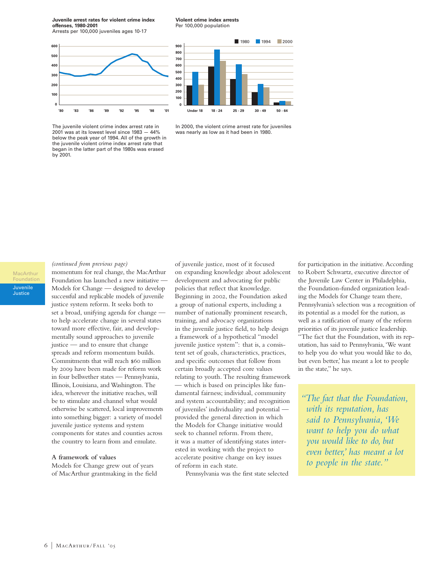**Juvenile arrest rates for violent crime index offenses, 1980-2001**

Arrests per 100,000 juveniles ages 10-17



**900 900 800 800 700 700 600 600 500 500 400 400 300 300 200 200 100 100 Under 18 18 - 24 25 - 29 Under 18 18 - 24 25 - 29** 1980 1994 **30 - 49 50 - 64 0**  $| 2000$ **30 - 49 50 - 64**

**Violent crime index arrests** Per 100,000 population

The juvenile violent crime index arrest rate in 2001 was at its lowest level since  $1983 - 44\%$ below the peak year of 1994. All of the growth in the juvenile violent crime index arrest rate that began in the latter part of the 1980s was erased by 2001.

#### In 2000, the violent crime arrest rate for juveniles was nearly as low as it had been in 1980.

**MacArthur Foundation** Juvenile Justice

#### *(continued from previous page)*

momentum for real change, the MacArthur Foundation has launched a new initiative -Models for Change — designed to develop successful and replicable models of juvenile justice system reform. It seeks both to set a broad, unifying agenda for change to help accelerate change in several states toward more effective, fair, and developmentally sound approaches to juvenile justice — and to ensure that change spreads and reform momentum builds. Commitments that will reach \$60 million by 2009 have been made for reform work in four bellwether states — Pennsylvania, Illinois, Louisiana, and Washington. The idea, wherever the initiative reaches, will be to stimulate and channel what would otherwise be scattered, local improvements into something bigger: a variety of model juvenile justice systems and system components for states and counties across the country to learn from and emulate.

#### **A framework of values**

Models for Change grew out of years of MacArthur grantmaking in the field of juvenile justice, most of it focused on expanding knowledge about adolescent development and advocating for public policies that reflect that knowledge. Beginning in 2002, the Foundation asked a group of national experts, including a number of nationally prominent research, training, and advocacy organizations in the juvenile justice field, to help design a framework of a hypothetical "model juvenile justice system": that is, a consistent set of goals, characteristics, practices, and specific outcomes that follow from certain broadly accepted core values relating to youth. The resulting framework — which is based on principles like fundamental fairness; individual, community and system accountability; and recognition of juveniles' individuality and potential provided the general direction in which the Models for Change initiative would seek to channel reform. From there, it was a matter of identifying states interested in working with the project to accelerate positive change on key issues of reform in each state.

Pennsylvania was the first state selected

for participation in the initiative. According to Robert Schwartz, executive director of the Juvenile Law Center in Philadelphia, the Foundation-funded organization leading the Models for Change team there, Pennsylvania's selection was a recognition of its potential as a model for the nation, as well as a ratification of many of the reform priorities of its juvenile justice leadership. "The fact that the Foundation, with its reputation, has said to Pennsylvania, 'We want to help you do what you would like to do, but even better,' has meant a lot to people in the state," he says.

*"The fact that the Foundation, with its reputation, has said to Pennsylvania,'We want to help you do what you would like to do, but even better,' has meant a lot to people in the state."*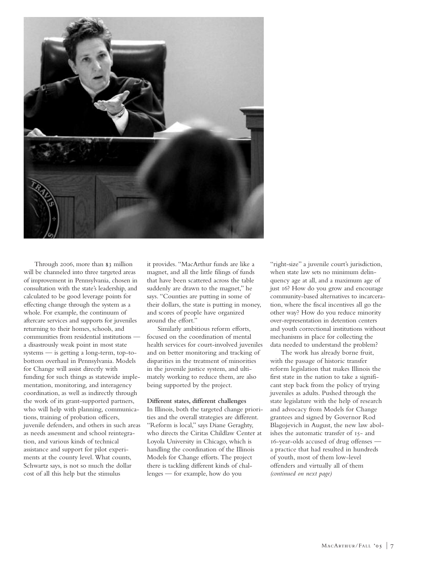

Through  $2006$ , more than  $$3$  million will be channeled into three targeted areas of improvement in Pennsylvania, chosen in consultation with the state's leadership, and calculated to be good leverage points for effecting change through the system as a whole. For example, the continuum of aftercare services and supports for juveniles returning to their homes, schools, and communities from residential institutions a disastrously weak point in most state systems — is getting a long-term, top-tobottom overhaul in Pennsylvania. Models for Change will assist directly with funding for such things as statewide implementation, monitoring, and interagency coordination, as well as indirectly through the work of its grant-supported partners, who will help with planning, communications, training of probation officers, juvenile defenders, and others in such areas as needs assessment and school reintegration, and various kinds of technical assistance and support for pilot experiments at the county level. What counts, Schwartz says, is not so much the dollar cost of all this help but the stimulus

it provides. "MacArthur funds are like a magnet, and all the little filings of funds that have been scattered across the table suddenly are drawn to the magnet," he says. "Counties are putting in some of their dollars, the state is putting in money, and scores of people have organized around the effort."

Similarly ambitious reform efforts, focused on the coordination of mental health services for court-involved juveniles and on better monitoring and tracking of disparities in the treatment of minorities in the juvenile justice system, and ultimately working to reduce them, are also being supported by the project.

#### **Different states, different challenges**

In Illinois, both the targeted change priorities and the overall strategies are different. "Reform is local," says Diane Geraghty, who directs the Ciritas Childlaw Center at Loyola University in Chicago, which is handling the coordination of the Illinois Models for Change efforts. The project there is tackling different kinds of challenges — for example, how do you

"right-size" a juvenile court's jurisdiction, when state law sets no minimum delinquency age at all, and a maximum age of just 16? How do you grow and encourage community-based alternatives to incarceration, where the fiscal incentives all go the other way? How do you reduce minority over-representation in detention centers and youth correctional institutions without mechanisms in place for collecting the data needed to understand the problem?

The work has already borne fruit, with the passage of historic transfer reform legislation that makes Illinois the first state in the nation to take a significant step back from the policy of trying juveniles as adults. Pushed through the state legislature with the help of research and advocacy from Models for Change grantees and signed by Governor Rod Blagojevich in August, the new law abolishes the automatic transfer of 15- and -year-olds accused of drug offenses a practice that had resulted in hundreds of youth, most of them low-level offenders and virtually all of them *(continued on next page)*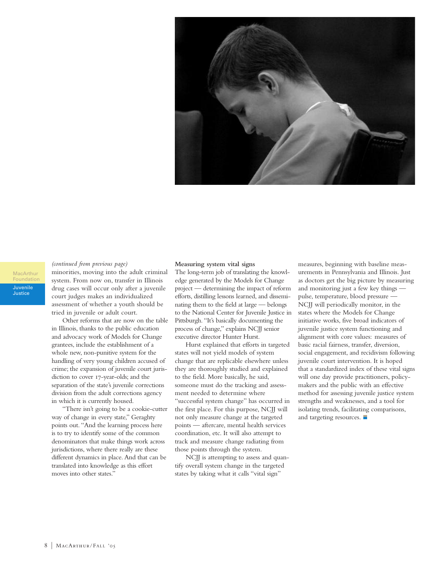

#### **MacArthur** Foundation Juvenile Justice

#### *(continued from previous page)*

minorities, moving into the adult criminal system. From now on, transfer in Illinois drug cases will occur only after a juvenile court judges makes an individualized assessment of whether a youth should be tried in juvenile or adult court.

Other reforms that are now on the table in Illinois, thanks to the public education and advocacy work of Models for Change grantees, include the establishment of a whole new, non-punitive system for the handling of very young children accused of crime; the expansion of juvenile court jurisdiction to cover 17-year-olds; and the separation of the state's juvenile corrections division from the adult corrections agency in which it is currently housed.

"There isn't going to be a cookie-cutter way of change in every state," Geraghty points out. "And the learning process here is to try to identify some of the common denominators that make things work across jurisdictions, where there really are these different dynamics in place. And that can be translated into knowledge as this effort moves into other states."

#### **Measuring system vital signs**

The long-term job of translating the knowledge generated by the Models for Change project — determining the impact of reform efforts, distilling lessons learned, and disseminating them to the field at large — belongs to the National Center for Juvenile Justice in Pittsburgh. "It's basically documenting the process of change," explains NCJJ senior executive director Hunter Hurst.

Hurst explained that efforts in targeted states will not yield models of system change that are replicable elsewhere unless they are thoroughly studied and explained to the field. More basically, he said, someone must do the tracking and assessment needed to determine where "successful system change" has occurred in the first place. For this purpose, NCJJ will not only measure change at the targeted points — aftercare, mental health services coordination, etc. It will also attempt to track and measure change radiating from those points through the system.

NCJJ is attempting to assess and quantify overall system change in the targeted states by taking what it calls "vital sign"

measures, beginning with baseline measurements in Pennsylvania and Illinois. Just as doctors get the big picture by measuring and monitoring just a few key things pulse, temperature, blood pressure — NCJJ will periodically monitor, in the states where the Models for Change initiative works, five broad indicators of juvenile justice system functioning and alignment with core values: measures of basic racial fairness, transfer, diversion, social engagement, and recidivism following juvenile court intervention. It is hoped that a standardized index of these vital signs will one day provide practitioners, policymakers and the public with an effective method for assessing juvenile justice system strengths and weaknesses, and a tool for isolating trends, facilitating comparisons, and targeting resources.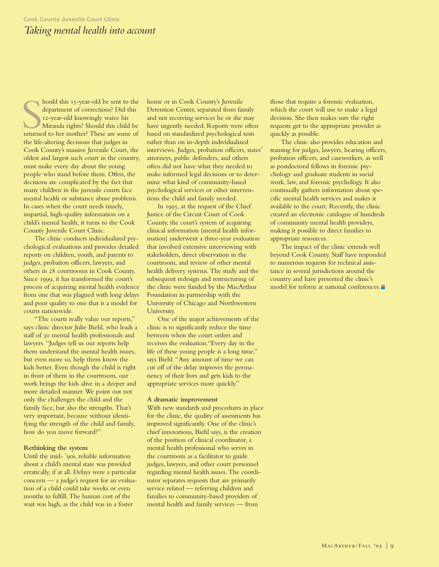hould this 15-year-old be sent to the department of corrections? Did this 12-year-old knowingly waive his Miranda rights? Should this child be returned to her mother? These are some of hould this 15-year-old be sent to the department of corrections? Did this -year-old knowingly waive his Miranda rights? Should this child be the life-altering decisions that judges in Cook County's massive Juvenile Court, the oldest and largest such court in the country, must make every day about the young people who stand before them. Often, the decisions are complicated by the fact that many children in the juvenile courts face mental health or substance abuse problems. In cases when the court needs timely, impartial, high-quality information on a child's mental health, it turns to the Cook County Juvenile Court Clinic.

The clinic conducts individualized psychological evaluations and provides detailed reports on children, youth, and parents to judges, probation officers, lawyers, and others in 28 courtrooms in Cook County. Since 1999, it has transformed the court's process of acquiring mental health evidence from one that was plagued with long delays and poor quality to one that is a model for courts nationwide.

"The courts really value our reports," says clinic director Julie Biehl, who leads a staff of 30 mental health professionals and lawyers. "Judges tell us our reports help them understand the mental health issues, but even more so, help them know the kids better. Even though the child is right in front of them in the courtroom, our work brings the kids alive in a deeper and more detailed manner. We point out not only the challenges the child and the family face, but also the strengths. That's very important, because without identifying the strength of the child and family, how do you move forward?"

#### **Rethinking the system**

Until the mid- '90s, reliable information about a child's mental state was provided erratically, if at all. Delays were a particular concern — a judge's request for an evaluation of a child could take weeks or even months to fulfill. The human cost of the wait was high, as the child was in a foster

home or in Cook County's Juvenile Detention Center, separated from family and not receiving services he or she may have urgently needed. Reports were often based on standardized psychological tests rather than on in-depth individualized interviews. Judges, probation officers, states' attorneys, public defenders, and others often did not have what they needed to make informed legal decisions or to determine what kind of community-based psychological services or other interventions the child and family needed.

In 1995, at the request of the Chief Justice of the Circuit Court of Cook County, the court's system of acquiring clinical information (mental health information) underwent a three-year evaluation that involved extensive interviewing with stakeholders, direct observation in the courtroom, and review of other mental health delivery systems. The study and the subsequent redesign and restructuring of the clinic were funded by the MacArthur Foundation in partnership with the University of Chicago and Northwestern University.

One of the major achievements of the clinic is to significantly reduce the time between when the court orders and receives the evaluation."Every day in the life of these young people is a long time," says Biehl. "Any amount of time we can cut off of the delay improves the permanency of their lives and gets kids to the appropriate services more quickly."

#### **A dramatic improvement**

With new standards and procedures in place for the clinic, the quality of assessments has improved significantly. One of the clinic's chief innovations, Biehl says, is the creation of the position of clinical coordinator, a mental health professional who serves in the courtroom as a facilitator to guide judges, lawyers, and other court personnel regarding mental health issues. The coordinator separates requests that are primarily service related — referring children and families to community-based providers of mental health and family services — from

those that require a forensic evaluation, which the court will use to make a legal decision. She then makes sure the right requests get to the appropriate provider as quickly as possible.

The clinic also provides education and training for judges, lawyers, hearing officers, probation officers, and caseworkers, as well as postdoctoral fellows in forensic psychology and graduate students in social work, law, and forensic psychology. It also continually gathers information about specific mental health services and makes it available to the court. Recently, the clinic created an electronic catalogue of hundreds of community mental health providers, making it possible to direct families to appropriate resources.

The impact of the clinic extends well beyond Cook County. Staff have responded to numerous requests for technical assistance in several jurisdictions around the country and have presented the clinic's model for reform at national conferences.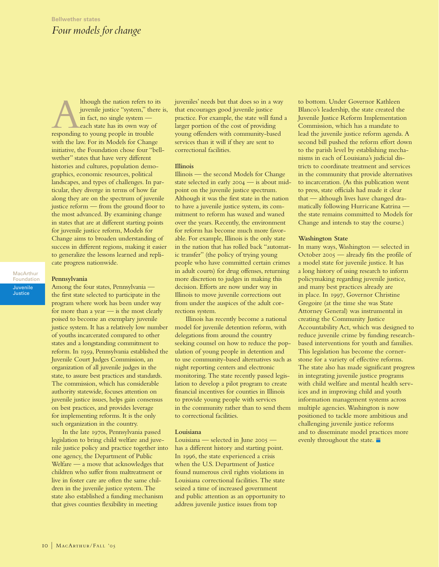Ithough the nation refers to its<br>juvenile justice "system," there<br>in fact, no single system —<br>each state has its own way of<br>responding to young people in trouble juvenile justice "system," there is, in fact, no single system each state has its own way of with the law. For its Models for Change initiative, the Foundation chose four "bellwether" states that have very different histories and cultures, population demographics, economic resources, political landscapes, and types of challenges. In particular, they diverge in terms of how far along they are on the spectrum of juvenile justice reform — from the ground floor to the most advanced. By examining change in states that are at different starting points for juvenile justice reform, Models for Change aims to broaden understanding of success in different regions, making it easier to generalize the lessons learned and replicate progress nationwide.

#### **Pennsylvania**

Among the four states, Pennsylvania the first state selected to participate in the program where work has been under way for more than a year — is the most clearly poised to become an exemplary juvenile justice system. It has a relatively low number of youths incarcerated compared to other states and a longstanding commitment to reform. In 1959, Pennsylvania established the Juvenile Court Judges Commission, an organization of all juvenile judges in the state, to assure best practices and standards. The commission, which has considerable authority statewide, focuses attention on juvenile justice issues, helps gain consensus on best practices, and provides leverage for implementing reforms. It is the only such organization in the country.

In the late 1970s, Pennsylvania passed legislation to bring child welfare and juvenile justice policy and practice together into one agency, the Department of Public Welfare — a move that acknowledges that children who suffer from maltreatment or live in foster care are often the same children in the juvenile justice system. The state also established a funding mechanism that gives counties flexibility in meeting

juveniles' needs but that does so in a way that encourages good juvenile justice practice. For example, the state will fund a larger portion of the cost of providing young offenders with community-based services than it will if they are sent to correctional facilities.

#### **Illinois**

Illinois — the second Models for Change state selected in early  $2004 - i$ s about midpoint on the juvenile justice spectrum. Although it was the first state in the nation to have a juvenile justice system, its commitment to reform has waxed and waned over the years. Recently, the environment for reform has become much more favorable. For example, Illinois is the only state in the nation that has rolled back "automatic transfer" (the policy of trying young people who have committed certain crimes in adult courts) for drug offenses, returning more discretion to judges in making this decision. Efforts are now under way in Illinois to move juvenile corrections out from under the auspices of the adult corrections system.

Illinois has recently become a national model for juvenile detention reform, with delegations from around the country seeking counsel on how to reduce the population of young people in detention and to use community-based alternatives such as night reporting centers and electronic monitoring. The state recently passed legislation to develop a pilot program to create financial incentives for counties in Illinois to provide young people with services in the community rather than to send them to correctional facilities.

#### **Louisiana**

Louisiana — selected in June  $2005$  has a different history and starting point. In 1996, the state experienced a crisis when the U.S. Department of Justice found numerous civil rights violations in Louisiana correctional facilities. The state seized a time of increased government and public attention as an opportunity to address juvenile justice issues from top

to bottom. Under Governor Kathleen Blanco's leadership, the state created the Juvenile Justice Reform Implementation Commission, which has a mandate to lead the juvenile justice reform agenda. A second bill pushed the reform effort down to the parish level by establishing mechanisms in each of Louisiana's judicial districts to coordinate treatment and services in the community that provide alternatives to incarceration. (As this publication went to press, state officials had made it clear that — although lives have changed dramatically following Hurricane Katrina the state remains committed to Models for Change and intends to stay the course.)

#### **Washington State**

In many ways, Washington — selected in October  $2005$  — already fits the profile of a model state for juvenile justice. It has a long history of using research to inform policymaking regarding juvenile justice, and many best practices already are in place. In 1997, Governor Christine Gregoire (at the time she was State Attorney General) was instrumental in creating the Community Justice Accountability Act, which was designed to reduce juvenile crime by funding researchbased interventions for youth and families. This legislation has become the cornerstone for a variety of effective reforms. The state also has made significant progress in integrating juvenile justice programs with child welfare and mental health services and in improving child and youth information management systems across multiple agencies. Washington is now positioned to tackle more ambitious and challenging juvenile justice reforms and to disseminate model practices more evenly throughout the state.

**MacArthur** Foundation Juvenile Justice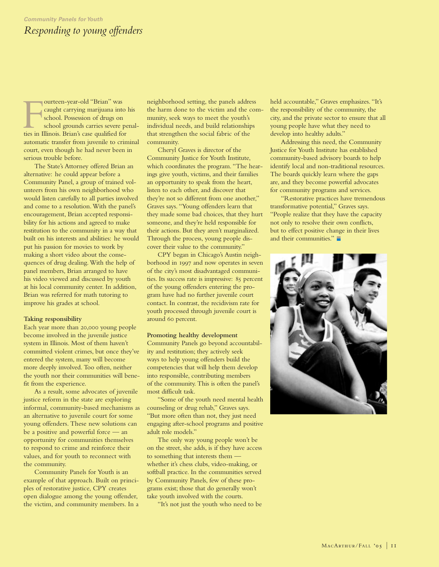ourteen-year-old "Brian" was<br>caught carrying marijuana into<br>school. Possession of drugs on<br>school grounds carries severe p<br>ties in Illinois. Brian's case qualified for ourteen-year-old "Brian" was caught carrying marijuana into his school. Possession of drugs on school grounds carries severe penalautomatic transfer from juvenile to criminal court, even though he had never been in serious trouble before.

The State's Attorney offered Brian an alternative: he could appear before a Community Panel, a group of trained volunteers from his own neighborhood who would listen carefully to all parties involved and come to a resolution. With the panel's encouragement, Brian accepted responsibility for his actions and agreed to make restitution to the community in a way that built on his interests and abilities: he would put his passion for movies to work by making a short video about the consequences of drug dealing. With the help of panel members, Brian arranged to have his video viewed and discussed by youth at his local community center. In addition, Brian was referred for math tutoring to improve his grades at school.

#### **Taking responsibility**

Each year more than 20,000 young people become involved in the juvenile justice system in Illinois. Most of them haven't committed violent crimes, but once they've entered the system, many will become more deeply involved. Too often, neither the youth nor their communities will benefit from the experience.

As a result, some advocates of juvenile justice reform in the state are exploring informal, community-based mechanisms as an alternative to juvenile court for some young offenders. These new solutions can be a positive and powerful force — an opportunity for communities themselves to respond to crime and reinforce their values, and for youth to reconnect with the community.

Community Panels for Youth is an example of that approach. Built on principles of restorative justice, CPY creates open dialogue among the young offender, the victim, and community members. In a

neighborhood setting, the panels address the harm done to the victim and the community, seek ways to meet the youth's individual needs, and build relationships that strengthen the social fabric of the community.

Cheryl Graves is director of the Community Justice for Youth Institute, which coordinates the program. "The hearings give youth, victims, and their families an opportunity to speak from the heart, listen to each other, and discover that they're not so different from one another," Graves says. "Young offenders learn that they made some bad choices, that they hurt someone, and they're held responsible for their actions. But they aren't marginalized. Through the process, young people discover their value to the community."

CPY began in Chicago's Austin neighborhood in 1997 and now operates in seven of the city's most disadvantaged communities. Its success rate is impressive: 85 percent of the young offenders entering the program have had no further juvenile court contact. In contrast, the recidivism rate for youth processed through juvenile court is around 60 percent.

#### **Promoting healthy development**

Community Panels go beyond accountability and restitution; they actively seek ways to help young offenders build the competencies that will help them develop into responsible, contributing members of the community. This is often the panel's most difficult task.

"Some of the youth need mental health counseling or drug rehab," Graves says. "But more often than not, they just need engaging after-school programs and positive adult role models."

The only way young people won't be on the street, she adds, is if they have access to something that interests them whether it's chess clubs, video-making, or softball practice. In the communities served by Community Panels, few of these programs exist; those that do generally won't take youth involved with the courts.

"It's not just the youth who need to be

held accountable," Graves emphasizes. "It's the responsibility of the community, the city, and the private sector to ensure that all young people have what they need to develop into healthy adults."

Addressing this need, the Community Justice for Youth Institute has established community-based advisory boards to help identify local and non-traditional resources. The boards quickly learn where the gaps are, and they become powerful advocates for community programs and services.

"Restorative practices have tremendous transformative potential," Graves says. "People realize that they have the capacity not only to resolve their own conflicts, but to effect positive change in their lives and their communities."

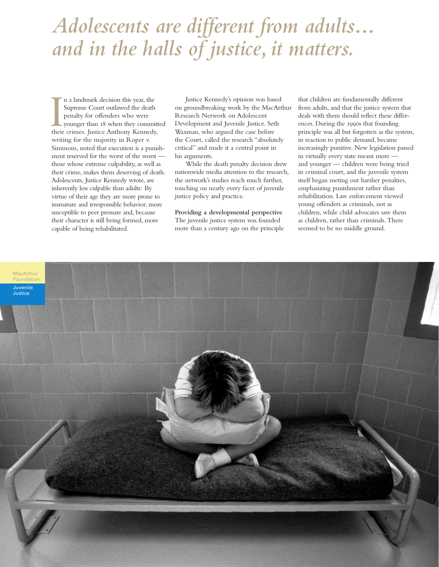# *Adolescents are different from adults…* and in the halls of justice, it matters.

In a landmark decision this year, the<br>Supreme Court outlawed the death<br>penalty for offenders who were<br>younger than 18 when they commit<br>their crimes. Justice Anthony Kennedy, n a landmark decision this year, the Supreme Court outlawed the death penalty for offenders who were younger than 18 when they committed writing for the majority in Roper v. Simmons, noted that execution is a punishment reserved for the worst of the worst those whose extreme culpability, as well as their crime, makes them deserving of death. Adolescents, Justice Kennedy wrote, are inherently less culpable than adults: By virtue of their age they are more prone to immature and irresponsible behavior, more susceptible to peer pressure and, because their character is still being formed, more capable of being rehabilitated.

Justice Kennedy's opinion was based on groundbreaking work by the MacArthur Research Network on Adolescent Development and Juvenile Justice. Seth Waxman, who argued the case before the Court, called the research "absolutely critical" and made it a central point in his arguments.

While the death penalty decision drew nationwide media attention to the research, the network's studies reach much further, touching on nearly every facet of juvenile justice policy and practice.

**Providing a developmental perspective** The juvenile justice system was founded more than a century ago on the principle

that children are fundamentally different from adults, and that the justice system that deals with them should reflect these differences. During the 1990s that founding principle was all but forgotten as the system, in reaction to public demand, became increasingly punitive. New legislation passed in virtually every state meant more and younger — children were being tried in criminal court, and the juvenile system itself began meting out harsher penalties, emphasizing punishment rather than rehabilitation. Law enforcement viewed young offenders as criminals, not as children, while child advocates saw them as children, rather than criminals. There seemed to be no middle ground.

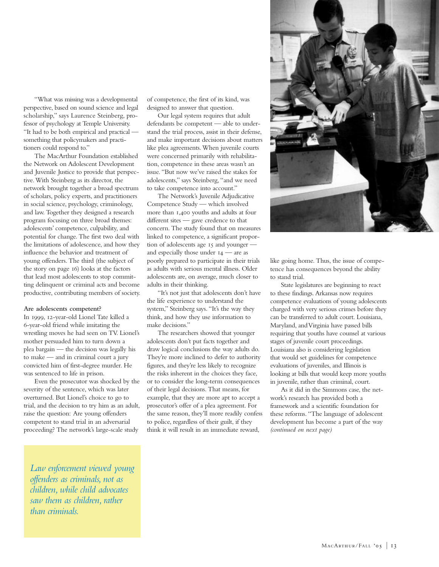"What was missing was a developmental perspective, based on sound science and legal scholarship," says Laurence Steinberg, professor of psychology at Temple University. "It had to be both empirical and practical something that policymakers and practitioners could respond to."

The MacArthur Foundation established the Network on Adolescent Development and Juvenile Justice to provide that perspective.With Steinberg as its director, the network brought together a broad spectrum of scholars, policy experts, and practitioners in social science, psychology, criminology, and law. Together they designed a research program focusing on three broad themes: adolescents' competence, culpability, and potential for change. The first two deal with the limitations of adolescence, and how they influence the behavior and treatment of young offenders. The third (the subject of the story on page 16) looks at the factors that lead most adolescents to stop committing delinquent or criminal acts and become productive, contributing members of society.

#### **Are adolescents competent?**

In 1999, 12-year-old Lionel Tate killed a -year-old friend while imitating the wrestling moves he had seen on TV. Lionel's mother persuaded him to turn down a plea bargain — the decision was legally his to make — and in criminal court a jury convicted him of first-degree murder. He was sentenced to life in prison.

Even the prosecutor was shocked by the severity of the sentence, which was later overturned. But Lionel's choice to go to trial, and the decision to try him as an adult, raise the question: Are young offenders competent to stand trial in an adversarial proceeding? The network's large-scale study

of competence, the first of its kind, was designed to answer that question.

Our legal system requires that adult defendants be competent — able to understand the trial process, assist in their defense, and make important decisions about matters like plea agreements. When juvenile courts were concerned primarily with rehabilitation, competence in these areas wasn't an issue. "But now we've raised the stakes for adolescents," says Steinberg, "and we need to take competence into account."

The Network's Juvenile Adjudicative Competence Study — which involved more than 1,400 youths and adults at four different sites — gave credence to that concern. The study found that on measures linked to competence, a significant proportion of adolescents age  $\overline{15}$  and younger and especially those under  $I_4$  — are as poorly prepared to participate in their trials as adults with serious mental illness. Older adolescents are, on average, much closer to adults in their thinking.

"It's not just that adolescents don't have the life experience to understand the system," Steinberg says. "It's the way they think, and how they use information to make decisions."

The researchers showed that younger adolescents don't put facts together and draw logical conclusions the way adults do. They're more inclined to defer to authority figures, and they're less likely to recognize the risks inherent in the choices they face, or to consider the long-term consequences of their legal decisions. That means, for example, that they are more apt to accept a prosecutor's offer of a plea agreement. For the same reason, they'll more readily confess to police, regardless of their guilt, if they think it will result in an immediate reward,



like going home. Thus, the issue of competence has consequences beyond the ability to stand trial.

State legislatures are beginning to react to these findings. Arkansas now requires competence evaluations of young adolescents charged with very serious crimes before they can be transferred to adult court. Louisiana, Maryland, and Virginia have passed bills requiring that youths have counsel at various stages of juvenile court proceedings. Louisiana also is considering legislation that would set guidelines for competence evaluations of juveniles, and Illinois is looking at bills that would keep more youths in juvenile, rather than criminal, court.

As it did in the Simmons case, the network's research has provided both a framework and a scientific foundation for these reforms. "The language of adolescent development has become a part of the way *(continued on next page)*

*Law enforcement viewed young offenders as criminals, not as children, while child advocates saw them as children, rather than criminals.*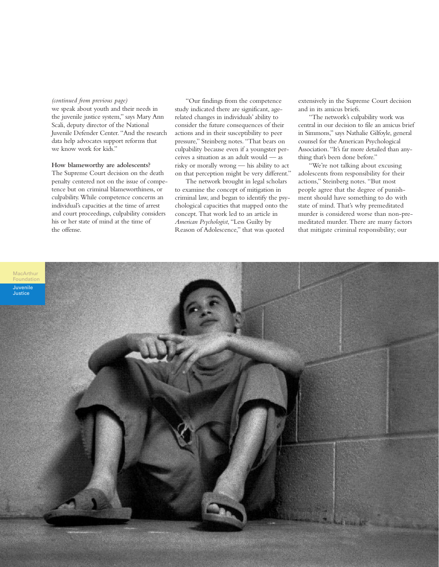#### *(continued from previous page)*

we speak about youth and their needs in the juvenile justice system," says Mary Ann Scali, deputy director of the National Juvenile Defender Center. "And the research data help advocates support reforms that we know work for kids."

#### **How blameworthy are adolescents?**

The Supreme Court decision on the death penalty centered not on the issue of competence but on criminal blameworthiness, or culpability. While competence concerns an individual's capacities at the time of arrest and court proceedings, culpability considers his or her state of mind at the time of the offense.

"Our findings from the competence study indicated there are significant, agerelated changes in individuals' ability to consider the future consequences of their actions and in their susceptibility to peer pressure," Steinberg notes. "That bears on culpability because even if a youngster perceives a situation as an adult would — as risky or morally wrong — his ability to act on that perception might be very different."

The network brought in legal scholars to examine the concept of mitigation in criminal law, and began to identify the psychological capacities that mapped onto the concept. That work led to an article in *American Psychologist*, "Less Guilty by Reason of Adolescence," that was quoted

extensively in the Supreme Court decision and in its amicus briefs.

"The network's culpability work was central in our decision to file an amicus brief in Simmons," says Nathalie Gilfoyle, general counsel for the American Psychological Association. "It's far more detailed than anything that's been done before."

"We're not talking about excusing adolescents from responsibility for their actions," Steinberg notes. "But most people agree that the degree of punishment should have something to do with state of mind. That's why premeditated murder is considered worse than non-premeditated murder. There are many factors that mitigate criminal responsibility; our

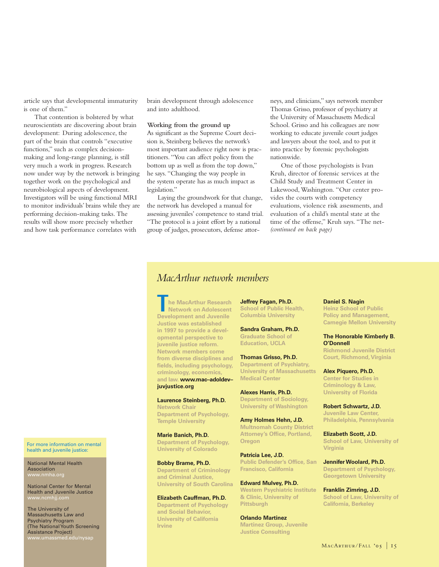article says that developmental immaturity is one of them."

That contention is bolstered by what neuroscientists are discovering about brain development: During adolescence, the part of the brain that controls "executive functions," such as complex decisionmaking and long-range planning, is still very much a work in progress. Research now under way by the network is bringing together work on the psychological and neurobiological aspects of development. Investigators will be using functional MRI to monitor individuals' brains while they are performing decision-making tasks. The results will show more precisely whether and how task performance correlates with

brain development through adolescence and into adulthood.

#### **Working from the ground up**

As significant as the Supreme Court decision is, Steinberg believes the network's most important audience right now is practitioners. "You can affect policy from the bottom up as well as from the top down," he says. "Changing the way people in the system operate has as much impact as legislation."

Laying the groundwork for that change, the network has developed a manual for assessing juveniles' competence to stand trial. "The protocol is a joint effort by a national group of judges, prosecutors, defense attorneys, and clinicians," says network member Thomas Grisso, professor of psychiatry at the University of Massachusetts Medical School. Grisso and his colleagues are now working to educate juvenile court judges and lawyers about the tool, and to put it into practice by forensic psychologists nationwide.

One of those psychologists is Ivan Kruh, director of forensic services at the Child Study and Treatment Center in Lakewood, Washington. "Our center provides the courts with competency evaluations, violence risk assessments, and evaluation of a child's mental state at the time of the offense," Kruh says. "The net- *(continued on back page)*

### *MacArthur network members*

**he MacArthur Research Network on Adolescent Development and Juvenile Justice was established in 1997 to provide a developmental perspective to juvenile justice reform. Network members come from diverse disciplines and fields, including psychology, criminology, economics, and law. www.mac–adoldev– juvjustice.org**

**Laurence Steinberg, Ph.D. Network Chair Department of Psychology, Temple University**

**Marie Banich, Ph.D. Department of Psychology, University of Colorado**

**Bobby Brame, Ph.D. Department of Criminology and Criminal Justice, University of South Carolina**

**Elizabeth Cauffman, Ph.D. Department of Psychology and Social Behavior, University of California Irvine**

**Jeffrey Fagan, Ph.D. School of Public Health, Columbia University**

**Sandra Graham, Ph.D. Graduate School of Education, UCLA**

**Thomas Grisso, Ph.D. Department of Psychiatry, University of Massachusetts Medical Center**

**Alexes Harris, Ph.D. Department of Sociology, University of Washington**

**Amy Holmes Hehn, J.D. Multnomah County District Attorney's Office, Portland, Oregon**

**Patricia Lee, J.D. Public Defender's Office, San Francisco, California**

**Edward Mulvey, Ph.D. Western Psychiatric Institute & Clinic, University of Pittsburgh**

**Orlando Martinez Martinez Group, Juvenile Justice Consulting** 

**Daniel S. Nagin**

**Heinz School of Public Policy and Management, Carnegie Mellon University**

**The Honorable Kimberly B. O'Donnell Richmond Juvenile District**

**Court, Richmond,Virginia**

**Alex Piquero, Ph.D. Center for Studies in Criminology & Law, University of Florida**

**Robert Schwartz, J.D. Juvenile Law Center, Philadelphia, Pennsylvania**

**Elizabeth Scott, J.D. School of Law, University of Virginia**

**Jennifer Woolard, Ph.D. Department of Psychology, Georgetown University**

**Franklin Zimring, J.D. School of Law, University of California, Berkeley**

For more information on mental health and juvenile justice:

National Mental Health Association www.nmha.org

National Center for Mental Health and Juvenile Justice www.ncmhjj.com

The University of Massachusetts Law and Psychiatry Program (The National Youth Screening Assistance Project) www.umassmed.edu/nysap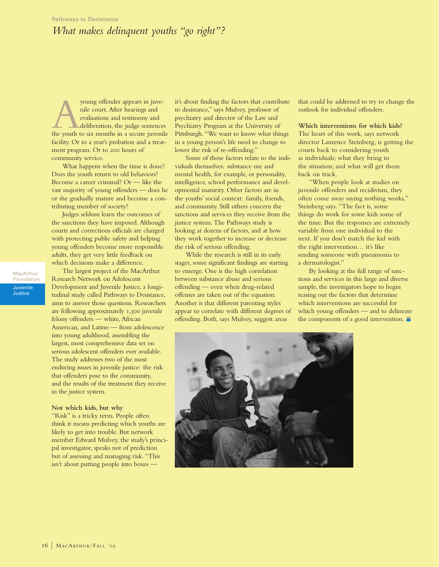**Pathways to Desistance** *What makes delinquent youths "go right"?*

young offender appears in juve-<br>
nile court. After hearings and<br>
evaluations and testimony and<br>
deliberation, the judge sentences<br>
the youth to six months in a secure juvenile nile court. After hearings and evaluations and testimony and deliberation, the judge sentences facility. Or to a year's probation and a treatment program. Or to 200 hours of community service.

What happens when the time is done? Does the youth return to old behaviors? Become a career criminal? Or — like the vast majority of young offenders — does he or she gradually mature and become a contributing member of society?

Judges seldom learn the outcomes of the sanctions they have imposed. Although courts and corrections officials are charged with protecting public safety and helping young offenders become more responsible adults, they get very little feedback on which decisions make a difference.

The largest project of the MacArthur Research Network on Adolescent Development and Juvenile Justice, a longitudinal study called Pathways to Desistance, aims to answer those questions. Researchers are following approximately 1,300 juvenile felony offenders — white, African American, and Latino — from adolescence into young adulthood, assembling the largest, most comprehensive data set on serious adolescent offenders ever available. The study addresses two of the most enduring issues in juvenile justice: the risk that offenders pose to the community, and the results of the treatment they receive in the justice system.

#### **Not which kids, but why**

"Risk" is a tricky term. People often think it means predicting which youths are likely to get into trouble. But network member Edward Mulvey, the study's principal investigator, speaks not of prediction but of assessing and managing risk. "This isn't about putting people into boxes —

it's about finding the factors that contribute to desistance," says Mulvey, professor of psychiatry and director of the Law and Psychiatry Program at the University of Pittsburgh. "We want to know what things in a young person's life need to change to lower the risk of re-offending."

Some of those factors relate to the individuals themselves: substance use and mental health, for example, or personality, intelligence, school performance and developmental maturity. Other factors are in the youths' social context: family, friends, and community. Still others concern the sanctions and services they receive from the justice system. The Pathways study is looking at dozens of factors, and at how they work together to increase or decrease the risk of serious offending.

While the research is still in its early stages, some significant findings are starting to emerge. One is the high correlation between substance abuse and serious offending — even when drug-related offenses are taken out of the equation. Another is that different parenting styles appear to correlate with different degrees of offending. Both, says Mulvey, suggest areas

that could be addressed to try to change the outlook for individual offenders.

#### **Which interventions for which kids?**

The heart of this work, says network director Laurence Steinberg, is getting the courts back to considering youth as individuals; what they bring to the situation; and what will get them back on track.

"When people look at studies on juvenile offenders and recidivism, they often come away saying nothing works," Steinberg says. "The fact is, some things do work for some kids some of the time. But the responses are extremely variable from one individual to the next. If you don't match the kid with the right intervention… it's like sending someone with pneumonia to a dermatologist."

By looking at the full range of sanctions and services in this large and diverse sample, the investigators hope to begin teasing out the factors that determine which interventions are successful for which young offenders — and to delineate the components of a good intervention.



**MacArthur** Foundation Juvenile Justice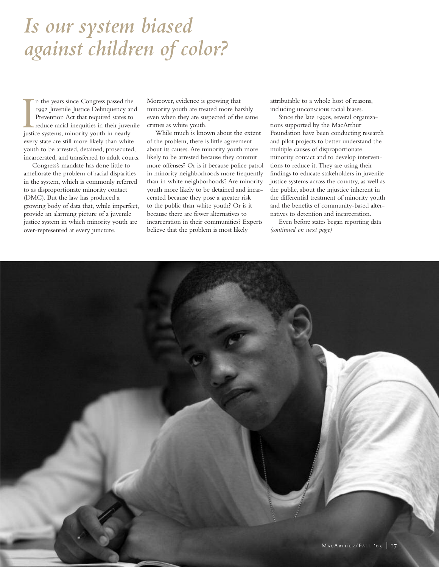# *Is our system biased against children of color?*

In the years since Congress passed the 1992 Juvenile Justice Delinquency a Prevention Act that required states to reduce racial inequities in their juve justice systems, minority youth in nearly n the years since Congress passed the 1992 Juvenile Justice Delinquency and Prevention Act that required states to reduce racial inequities in their juvenile every state are still more likely than white youth to be arrested, detained, prosecuted, incarcerated, and transferred to adult courts.

Congress's mandate has done little to ameliorate the problem of racial disparities in the system, which is commonly referred to as disproportionate minority contact (DMC). But the law has produced a growing body of data that, while imperfect, provide an alarming picture of a juvenile justice system in which minority youth are over-represented at every juncture.

Moreover, evidence is growing that minority youth are treated more harshly even when they are suspected of the same crimes as white youth.

While much is known about the extent of the problem, there is little agreement about its causes. Are minority youth more likely to be arrested because they commit more offenses? Or is it because police patrol in minority neighborhoods more frequently than in white neighborhoods? Are minority youth more likely to be detained and incarcerated because they pose a greater risk to the public than white youth? Or is it because there are fewer alternatives to incarceration in their communities? Experts believe that the problem is most likely

attributable to a whole host of reasons, including unconscious racial biases.

Since the late 1990s, several organizations supported by the MacArthur Foundation have been conducting research and pilot projects to better understand the multiple causes of disproportionate minority contact and to develop interventions to reduce it. They are using their findings to educate stakeholders in juvenile justice systems across the country, as well as the public, about the injustice inherent in the differential treatment of minority youth and the benefits of community-based alternatives to detention and incarceration.

Even before states began reporting data *(continued on next page)*

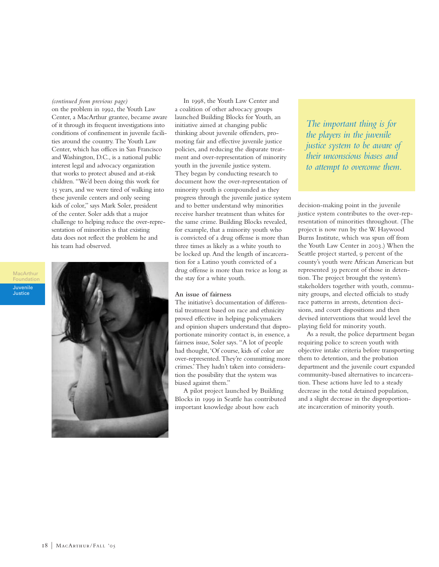#### *(continued from previous page)*

on the problem in 1992, the Youth Law Center, a MacArthur grantee, became aware of it through its frequent investigations into conditions of confinement in juvenile facilities around the country. The Youth Law Center, which has offices in San Francisco and Washington, D.C., is a national public interest legal and advocacy organization that works to protect abused and at-risk children. "We'd been doing this work for 15 years, and we were tired of walking into these juvenile centers and only seeing kids of color," says Mark Soler, president of the center. Soler adds that a major challenge to helping reduce the over-representation of minorities is that existing data does not reflect the problem he and his team had observed.

**MacArthur** Foundation Juvenile Justice



In 1998, the Youth Law Center and a coalition of other advocacy groups launched Building Blocks for Youth, an initiative aimed at changing public thinking about juvenile offenders, promoting fair and effective juvenile justice policies, and reducing the disparate treatment and over-representation of minority youth in the juvenile justice system. They began by conducting research to document how the over-representation of minority youth is compounded as they progress through the juvenile justice system and to better understand why minorities receive harsher treatment than whites for the same crime. Building Blocks revealed, for example, that a minority youth who is convicted of a drug offense is more than three times as likely as a white youth to be locked up. And the length of incarceration for a Latino youth convicted of a drug offense is more than twice as long as the stay for a white youth.

#### **An issue of fairness**

The initiative's documentation of differential treatment based on race and ethnicity proved effective in helping policymakers and opinion shapers understand that disproportionate minority contact is, in essence, a fairness issue, Soler says. "A lot of people had thought, 'Of course, kids of color are over-represented. They're committing more crimes.' They hadn't taken into consideration the possibility that the system was biased against them."

A pilot project launched by Building Blocks in 1999 in Seattle has contributed important knowledge about how each

*The important thing is for the players in the juvenile justice system to be aware of their unconscious biases and to attempt to overcome them.*

decision-making point in the juvenile justice system contributes to the over-representation of minorities throughout. (The project is now run by the W. Haywood Burns Institute, which was spun off from the Youth Law Center in 2003.) When the Seattle project started, 9 percent of the county's youth were African American but represented 39 percent of those in detention. The project brought the system's stakeholders together with youth, community groups, and elected officials to study race patterns in arrests, detention decisions, and court dispositions and then devised interventions that would level the playing field for minority youth.

As a result, the police department began requiring police to screen youth with objective intake criteria before transporting them to detention, and the probation department and the juvenile court expanded community-based alternatives to incarceration. These actions have led to a steady decrease in the total detained population, and a slight decrease in the disproportionate incarceration of minority youth.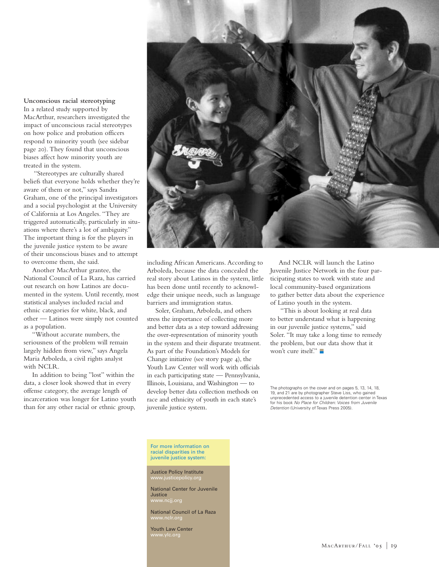#### **Unconscious racial stereotyping**

In a related study supported by MacArthur, researchers investigated the impact of unconscious racial stereotypes on how police and probation officers respond to minority youth (see sidebar page 20). They found that unconscious biases affect how minority youth are treated in the system.

"Stereotypes are culturally shared beliefs that everyone holds whether they're aware of them or not," says Sandra Graham, one of the principal investigators and a social psychologist at the University of California at Los Angeles. "They are triggered automatically, particularly in situations where there's a lot of ambiguity." The important thing is for the players in the juvenile justice system to be aware of their unconscious biases and to attempt to overcome them, she said.

Another MacArthur grantee, the National Council of La Raza, has carried out research on how Latinos are documented in the system. Until recently, most statistical analyses included racial and ethnic categories for white, black, and other — Latinos were simply not counted as a population.

"Without accurate numbers, the seriousness of the problem will remain largely hidden from view," says Angela Maria Arboleda, a civil rights analyst with NCLR.

In addition to being "lost" within the data, a closer look showed that in every offense category, the average length of incarceration was longer for Latino youth than for any other racial or ethnic group,



including African Americans. According to Arboleda, because the data concealed the real story about Latinos in the system, little has been done until recently to acknowledge their unique needs, such as language barriers and immigration status.

Soler, Graham, Arboleda, and others stress the importance of collecting more and better data as a step toward addressing the over-representation of minority youth in the system and their disparate treatment. As part of the Foundation's Models for Change initiative (see story page  $4$ ), the Youth Law Center will work with officials in each participating state — Pennsylvania, Illinois, Louisiana, and Washington — to develop better data collection methods on race and ethnicity of youth in each state's juvenile justice system.

And NCLR will launch the Latino Juvenile Justice Network in the four participating states to work with state and local community-based organizations to gather better data about the experience of Latino youth in the system.

"This is about looking at real data to better understand what is happening in our juvenile justice systems," said Soler. "It may take a long time to remedy the problem, but our data show that it won't cure itself."

The photographs on the cover and on pages 5, 13, 14, 18, 19, and 21 are by photographer Steve Liss, who gained unprecedented access to a juvenile detention center in Texas for his book *No Place for Children: Voices from Juvenile Detention* (University of Texas Press 2005).

For more information on racial disparities in the juvenile justice system:

Justice Policy Institute www.justicepolicy.org

National Center for Juvenile **Justice** www.ncjj.org

National Council of La Raza www.nclr.org

Youth Law Center www.ylc.org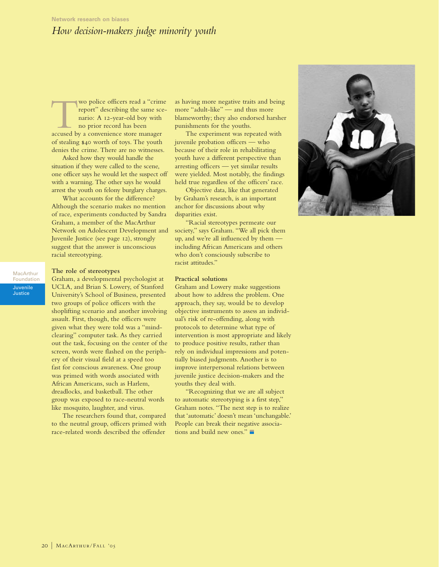### *How decision-makers judge minority youth*

Two police officers read a "crime report" describing the same scenario: A 12-year-old boy with no prior record has been accused by a convenience store manager report" describing the same scenario: A 12-year-old boy with no prior record has been of stealing \$40 worth of toys. The youth denies the crime. There are no witnesses.

Asked how they would handle the situation if they were called to the scene, one officer says he would let the suspect off with a warning. The other says he would arrest the youth on felony burglary charges.

What accounts for the difference? Although the scenario makes no mention of race, experiments conducted by Sandra Graham, a member of the MacArthur Network on Adolescent Development and Juvenile Justice (see page 12), strongly suggest that the answer is unconscious racial stereotyping.

#### **The role of stereotypes**

Graham, a developmental psychologist at UCLA, and Brian S. Lowery, of Stanford University's School of Business, presented two groups of police officers with the shoplifting scenario and another involving assault. First, though, the officers were given what they were told was a "mindclearing" computer task. As they carried out the task, focusing on the center of the screen, words were flashed on the periphery of their visual field at a speed too fast for conscious awareness. One group was primed with words associated with African Americans, such as Harlem, dreadlocks, and basketball. The other group was exposed to race-neutral words like mosquito, laughter, and virus.

The researchers found that, compared to the neutral group, officers primed with race-related words described the offender

as having more negative traits and being more "adult-like" — and thus more blameworthy; they also endorsed harsher punishments for the youths.

The experiment was repeated with juvenile probation officers — who because of their role in rehabilitating youth have a different perspective than arresting officers — yet similar results were yielded. Most notably, the findings held true regardless of the officers' race.

Objective data, like that generated by Graham's research, is an important anchor for discussions about why disparities exist.

"Racial stereotypes permeate our society," says Graham. "We all pick them up, and we're all influenced by them including African Americans and others who don't consciously subscribe to racist attitudes."

#### **Practical solutions**

Graham and Lowery make suggestions about how to address the problem. One approach, they say, would be to develop objective instruments to assess an individual's risk of re-offending, along with protocols to determine what type of intervention is most appropriate and likely to produce positive results, rather than rely on individual impressions and potentially biased judgments. Another is to improve interpersonal relations between juvenile justice decision-makers and the youths they deal with.

"Recognizing that we are all subject to automatic stereotyping is a first step," Graham notes. "The next step is to realize that 'automatic' doesn't mean 'unchangable.' People can break their negative associations and build new ones."

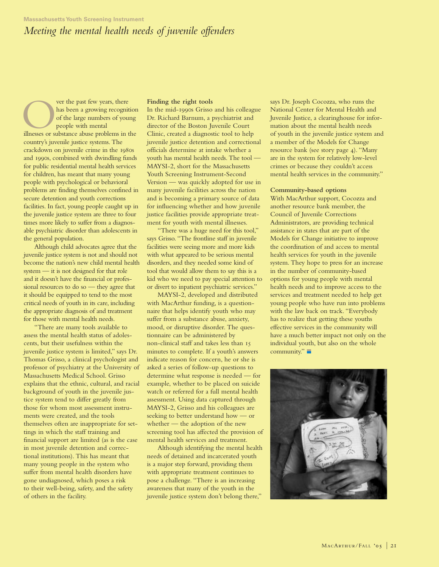### *Meeting the mental health needs of juvenile offenders*

ver the past few years, there has been a growing recognition of the large numbers of young people with mental illnesses or substance abuse problems in the has been a growing recognition of the large numbers of young people with mental country's juvenile justice systems. The crackdown on juvenile crime in the 1980s and 1990s, combined with dwindling funds for public residential mental health services for children, has meant that many young people with psychological or behavioral problems are finding themselves confined in secure detention and youth corrections facilities. In fact, young people caught up in the juvenile justice system are three to four times more likely to suffer from a diagnosable psychiatric disorder than adolescents in the general population.

Although child advocates agree that the juvenile justice system is not and should not become the nation's new child mental health system — it is not designed for that role and it doesn't have the financial or professional resources to do so — they agree that it should be equipped to tend to the most critical needs of youth in its care, including the appropriate diagnosis of and treatment for those with mental health needs.

"There are many tools available to assess the mental health status of adolescents, but their usefulness within the juvenile justice system is limited," says Dr. Thomas Grisso, a clinical psychologist and professor of psychiatry at the University of Massachusetts Medical School. Grisso explains that the ethnic, cultural, and racial background of youth in the juvenile justice system tend to differ greatly from those for whom most assessment instruments were created, and the tools themselves often are inappropriate for settings in which the staff training and financial support are limited (as is the case in most juvenile detention and correctional institutions). This has meant that many young people in the system who suffer from mental health disorders have gone undiagnosed, which poses a risk to their well-being, safety, and the safety of others in the facility.

#### **Finding the right tools**

In the mid-1990s Grisso and his colleague Dr. Richard Barnum, a psychiatrist and director of the Boston Juvenile Court Clinic, created a diagnostic tool to help juvenile justice detention and correctional officials determine at intake whether a youth has mental health needs. The tool — MAYSI-2, short for the Massachusetts Youth Screening Instrument-Second Version — was quickly adopted for use in many juvenile facilities across the nation and is becoming a primary source of data for influencing whether and how juvenile justice facilities provide appropriate treatment for youth with mental illnesses.

"There was a huge need for this tool," says Grisso. "The frontline staff in juvenile facilities were seeing more and more kids with what appeared to be serious mental disorders, and they needed some kind of tool that would allow them to say this is a kid who we need to pay special attention to or divert to inpatient psychiatric services."

MAYSI-2, developed and distributed with MacArthur funding, is a questionnaire that helps identify youth who may suffer from a substance abuse, anxiety, mood, or disruptive disorder. The questionnaire can be administered by non-clinical staff and takes less than minutes to complete. If a youth's answers indicate reason for concern, he or she is asked a series of follow-up questions to determine what response is needed — for example, whether to be placed on suicide watch or referred for a full mental health assessment. Using data captured through MAYSI-2, Grisso and his colleagues are seeking to better understand how — or whether — the adoption of the new screening tool has affected the provision of mental health services and treatment.

Although identifying the mental health needs of detained and incarcerated youth is a major step forward, providing them with appropriate treatment continues to pose a challenge. "There is an increasing awareness that many of the youth in the juvenile justice system don't belong there,"

says Dr. Joseph Cocozza, who runs the National Center for Mental Health and Juvenile Justice, a clearinghouse for information about the mental health needs of youth in the juvenile justice system and a member of the Models for Change resource bank (see story page 4). "Many are in the system for relatively low-level crimes or because they couldn't access mental health services in the community."

#### **Community-based options**

With MacArthur support, Cocozza and another resource bank member, the Council of Juvenile Corrections Administrators, are providing technical assistance in states that are part of the Models for Change initiative to improve the coordination of and access to mental health services for youth in the juvenile system. They hope to press for an increase in the number of community-based options for young people with mental health needs and to improve access to the services and treatment needed to help get young people who have run into problems with the law back on track. "Everybody has to realize that getting these youths effective services in the community will have a much better impact not only on the individual youth, but also on the whole community."

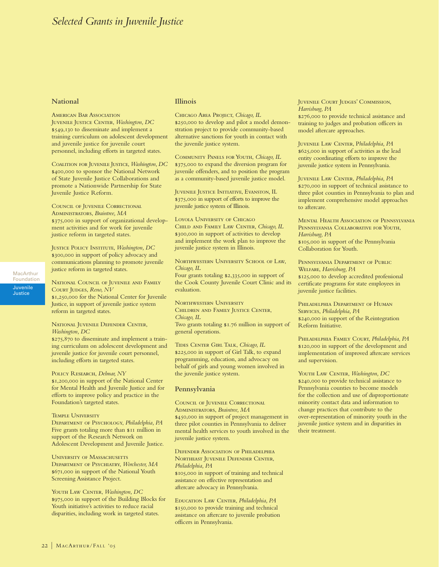#### **National**

**MacArthur** Foundation Juvenile Justice

American Bar Association Juvenile Justice Center, *Washington, DC* \$549,130 to disseminate and implement a training curriculum on adolescent development and juvenile justice for juvenile court personnel, including efforts in targeted states.

Coalition for Juvenile Justice, *Washington, DC* \$400,000 to sponsor the National Network of State Juvenile Justice Collaborations and promote a Nationwide Partnership for State Juvenile Justice Reform.

COUNCIL OF JUVENILE CORRECTIONAL Administrators, *Braintree, MA* \$375,000 in support of organizational development activities and for work for juvenile justice reform in targeted states.

Justice Policy Institute, *Washington, DC* \$300,000 in support of policy advocacy and communications planning to promote juvenile justice reform in targeted states.

NATIONAL COUNCIL OF JUVENILE AND FAMILY Court Judges, *Reno, NV* \$1,250,000 for the National Center for Juvenile

Justice, in support of juvenile justice system reform in targeted states.

National Juvenile Defender Center, *Washington, DC*

\$275,870 to disseminate and implement a training curriculum on adolescent development and juvenile justice for juvenile court personnel, including efforts in targeted states.

#### Policy Research, *Delmar, NY*

\$1,200,000 in support of the National Center for Mental Health and Juvenile Justice and for efforts to improve policy and practice in the Foundation's targeted states.

#### Temple University

Department of Psychology, *Philadelphia, PA* Five grants totaling more than \$11 million in support of the Research Network on Adolescent Development and Juvenile Justice.

UNIVERSITY OF MASSACHUSETTS Department of Psychiatry, *Worchester, MA* \$671,000 in support of the National Youth Screening Assistance Project.

YOUTH LAW CENTER, *Washington*, DC \$975,000 in support of the Building Blocks for Youth initiative's activities to reduce racial disparities, including work in targeted states.

#### **Illinois**

Chicago Area Project, *Chicago, IL* \$250,000 to develop and pilot a model demonstration project to provide community-based alternative sanctions for youth in contact with the juvenile justice system.

Community Panels for Youth, *Chicago, IL* \$375,000 to expand the diversion program for juvenile offenders, and to position the program as a community-based juvenile justice model.

Juvenile Justice Initiative, Evanston, IL \$375,000 in support of efforts to improve the juvenile justice system of Illinois.

LOYOLA UNIVERSITY OF CHICAGO Child and Family Law Center, *Chicago, IL* \$300,000 in support of activities to develop and implement the work plan to improve the juvenile justice system in Illinois.

Northwestern University School of Law, *Chicago, IL*

Four grants totaling \$2,335,000 in support of the Cook County Juvenile Court Clinic and its evaluation. Northwestern University

CHILDREN AND FAMILY JUSTICE CENTER, *Chicago, IL* Two grants totaling \$1.76 million in support of general operations.

Tides Center Girl Talk, *Chicago, IL* \$225,000 in support of Girl Talk, to expand programming, education, and advocacy on behalf of girls and young women involved in the juvenile justice system.

#### **Pennsylvania**

Council of Juvenile Correctional Administrators, *Braintree, MA* \$450,000 in support of project management in three pilot counties in Pennsylvania to deliver mental health services to youth involved in the juvenile justice system.

Defender Association of Philadelphia Northeast Juvenile Defender Center, *Philadelphia, PA*

\$105,000 in support of training and technical assistance on effective representation and aftercare advocacy in Pennsylvania.

Education Law Center, *Philadelphia, PA* \$150,000 to provide training and technical assistance on aftercare to juvenile probation officers in Pennsylvania.

Juvenile Court Judges' Commission, *Harrisburg, PA* \$276,000 to provide technical assistance and

training to judges and probation officers in model aftercare approaches.

Juvenile Law Center, P*hiladelphia, PA* \$625,000 in support of activities as the lead entity coordinating efforts to improve the juvenile justice system in Pennsylvania.

Juvenile Law Center, *Philadelphia, PA* \$270,000 in support of technical assistance to three pilot counties in Pennsylvania to plan and implement comprehensive model approaches to aftercare.

Mental Health Association of Pennsylvania PENNSYLVANIA COLLABORATIVE FOR YOUTH. *Harrisburg, PA* \$105,000 in support of the Pennsylvania Collaboration for Youth.

Pennsylvania Department of Public Welfare, *Harrisburg, PA* \$125,000 to develop accredited professional certificate programs for state employees in juvenile justice facilities.

PHILADELPHIA DEPARTMENT OF HUMAN Services, *Philadelphia, PA* \$240,000 in support of the Reintegration Reform Initiative.

Philadelphia Family Court, *Philadelphia, PA* \$120,000 in support of the development and implementation of improved aftercare services and supervision.

Youth Law Center, *Washington, DC* \$240,000 to provide technical assistance to Pennsylvania counties to become models for the collection and use of disproportionate minority contact data and information to change practices that contribute to the over-representation of minority youth in the juvenile justice system and in disparities in their treatment.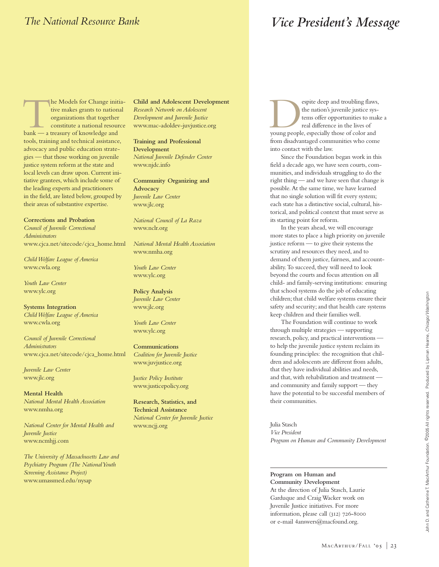## *The National Resource Bank Vice President's Message*

The Models for Change initia-<br>tive makes grants to national<br>organizations that together<br>constitute a national resource<br>bank — a treasury of knowledge and tive makes grants to national organizations that together constitute a national resource tools, training and technical assistance, advocacy and public education strategies — that those working on juvenile justice system reform at the state and local levels can draw upon. Current initiative grantees, which include some of the leading experts and practitioners in the field, are listed below, grouped by their areas of substantive expertise.

#### **Corrections and Probation**

*Council of Juvenile Correctional Administrators* www.cjca.net/sitecode/cjca\_home.html

*Child Welfare League of America* www.cwla.org

*Youth Law Center* www.ylc.org

**Systems Integration** *Child Welfare League of America* www.cwla.org

*Council of Juvenile Correctional Administrators* www.cjca.net/sitecode/cjca\_home.html

*Juvenile Law Center* www.jlc.org

**Mental Health** *National Mental Health Association* www.nmha.org

*National Center for Mental Health and Juvenile Justice* www.ncmhjj.com

*The University of Massachusetts Law and Psychiatry Program (The National Youth Screening Assistance Project)* www.umassmed.edu/nysap

**Child and Adolescent Development** *Research Network on Adolescent Development and Juvenile Justice* www.mac-adoldev-juvjustice.org

**Training and Professional Development** *National Juvenile Defender Center* www.njdc.info

**Community Organizing and Advocacy**

*Juvenile Law Center* www.jlc.org

*National Council of La Raza* www.nclr.org

*National Mental Health Association* www.nmha.org

*Youth Law Center* www.ylc.org

**Policy Analysis** *Juvenile Law Center* www.jlc.org

*Youth Law Center* www.ylc.org

**Communications** *Coalition for Juvenile Justice* www.juvjustice.org

J*ustice Policy Institute* www.justicepolicy.org

**Research, Statistics, and Technical Assistance** *National Center for Juvenile Justice* www.ncjj.org

espite deep and troubling flaws,<br>the nation's juvenile justice sys-<br>tems offer opportunities to make<br>real difference in the lives of<br>young people, especially those of color and the nation's juvenile justice systems offer opportunities to make a real difference in the lives of from disadvantaged communities who come into contact with the law.

Since the Foundation began work in this field a decade ago, we have seen courts, communities, and individuals struggling to do the right thing — and we have seen that change is possible.At the same time, we have learned that no single solution will fit every system; each state has a distinctive social, cultural, historical, and political context that must serve as its starting point for reform.

In the years ahead, we will encourage more states to place a high priority on juvenile justice reform — to give their systems the scrutiny and resources they need, and to demand of them justice, fairness, and accountability.To succeed, they will need to look beyond the courts and focus attention on all child- and family-serving institutions: ensuring that school systems do the job of educating children; that child welfare systems ensure their safety and security; and that health care systems keep children and their families well.

The Foundation will continue to work through multiple strategies — supporting research, policy, and practical interventions to help the juvenile justice system reclaim its founding principles: the recognition that children and adolescents are different from adults, that they have individual abilities and needs, and that, with rehabilitation and treatment and community and family support — they have the potential to be successful members of their communities.

Julia Stasch *Vice President Program on Human and Community Development*

**Program on Human and Community Development** At the direction of Julia Stasch, Laurie Garduque and Craig Wacker work on Juvenile Justice initiatives. For more information, please call  $(312)$  726-8000 or e-mail 4answers@macfound.org.